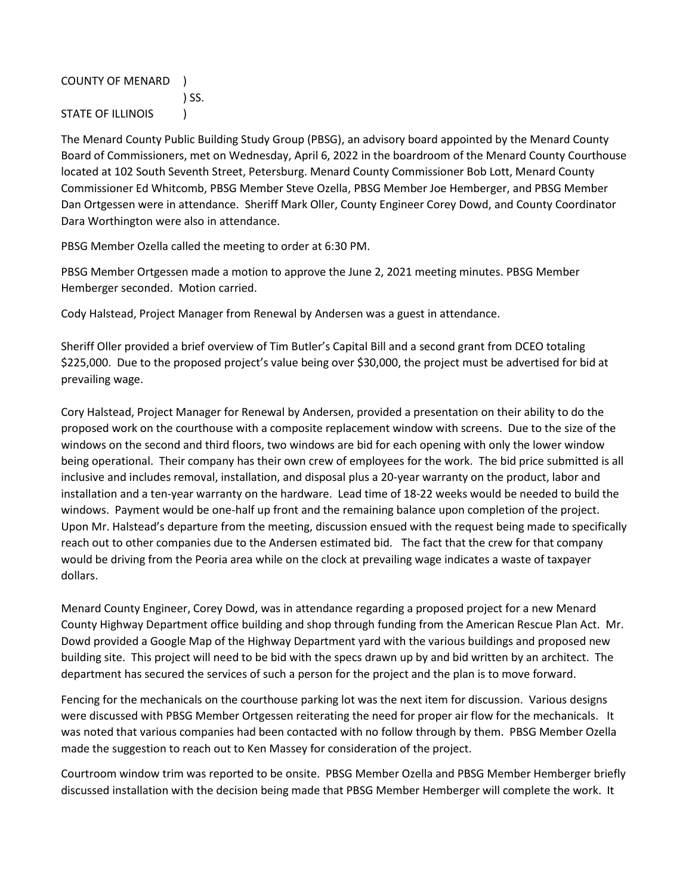## COUNTY OF MENARD )

) SS.

STATE OF ILLINOIS (1)

The Menard County Public Building Study Group (PBSG), an advisory board appointed by the Menard County Board of Commissioners, met on Wednesday, April 6, 2022 in the boardroom of the Menard County Courthouse located at 102 South Seventh Street, Petersburg. Menard County Commissioner Bob Lott, Menard County Commissioner Ed Whitcomb, PBSG Member Steve Ozella, PBSG Member Joe Hemberger, and PBSG Member Dan Ortgessen were in attendance. Sheriff Mark Oller, County Engineer Corey Dowd, and County Coordinator Dara Worthington were also in attendance.

PBSG Member Ozella called the meeting to order at 6:30 PM.

PBSG Member Ortgessen made a motion to approve the June 2, 2021 meeting minutes. PBSG Member Hemberger seconded. Motion carried.

Cody Halstead, Project Manager from Renewal by Andersen was a guest in attendance.

Sheriff Oller provided a brief overview of Tim Butler's Capital Bill and a second grant from DCEO totaling \$225,000. Due to the proposed project's value being over \$30,000, the project must be advertised for bid at prevailing wage.

Cory Halstead, Project Manager for Renewal by Andersen, provided a presentation on their ability to do the proposed work on the courthouse with a composite replacement window with screens. Due to the size of the windows on the second and third floors, two windows are bid for each opening with only the lower window being operational. Their company has their own crew of employees for the work. The bid price submitted is all inclusive and includes removal, installation, and disposal plus a 20-year warranty on the product, labor and installation and a ten-year warranty on the hardware. Lead time of 18-22 weeks would be needed to build the windows. Payment would be one-half up front and the remaining balance upon completion of the project. Upon Mr. Halstead's departure from the meeting, discussion ensued with the request being made to specifically reach out to other companies due to the Andersen estimated bid. The fact that the crew for that company would be driving from the Peoria area while on the clock at prevailing wage indicates a waste of taxpayer dollars.

Menard County Engineer, Corey Dowd, was in attendance regarding a proposed project for a new Menard County Highway Department office building and shop through funding from the American Rescue Plan Act. Mr. Dowd provided a Google Map of the Highway Department yard with the various buildings and proposed new building site. This project will need to be bid with the specs drawn up by and bid written by an architect. The department has secured the services of such a person for the project and the plan is to move forward.

Fencing for the mechanicals on the courthouse parking lot was the next item for discussion. Various designs were discussed with PBSG Member Ortgessen reiterating the need for proper air flow for the mechanicals. It was noted that various companies had been contacted with no follow through by them. PBSG Member Ozella made the suggestion to reach out to Ken Massey for consideration of the project.

Courtroom window trim was reported to be onsite. PBSG Member Ozella and PBSG Member Hemberger briefly discussed installation with the decision being made that PBSG Member Hemberger will complete the work. It